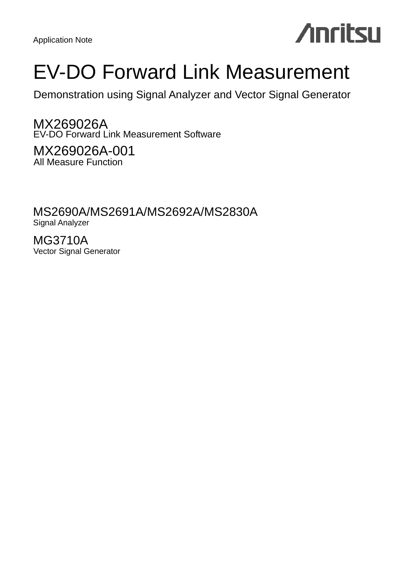Application Note

# **Anritsu**

# EV-DO Forward Link Measurement

Demonstration using Signal Analyzer and Vector Signal Generator

MX269026A EV-DO Forward Link Measurement Software

MX269026A-001 All Measure Function

MS2690A/MS2691A/MS2692A/MS2830A Signal Analyzer

MG3710A Vector Signal Generator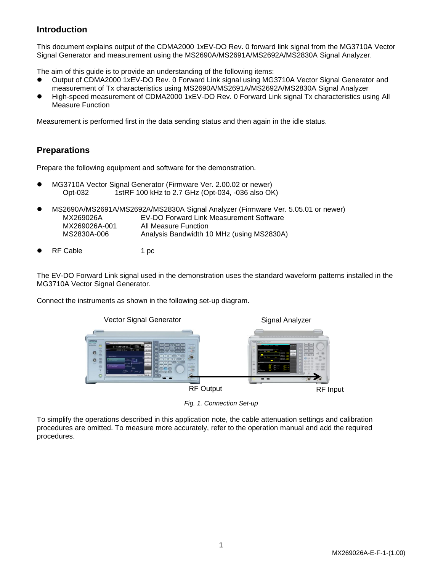# **Introduction**

This document explains output of the CDMA2000 1xEV-DO Rev. 0 forward link signal from the MG3710A Vector Signal Generator and measurement using the MS2690A/MS2691A/MS2692A/MS2830A Signal Analyzer.

The aim of this guide is to provide an understanding of the following items:

- Output of CDMA2000 1xEV-DO Rev. 0 Forward Link signal using MG3710A Vector Signal Generator and measurement of Tx characteristics using MS2690A/MS2691A/MS2692A/MS2830A Signal Analyzer
- High-speed measurement of CDMA2000 1xEV-DO Rev. 0 Forward Link signal Tx characteristics using All Measure Function

Measurement is performed first in the data sending status and then again in the idle status.

# **Preparations**

Prepare the following equipment and software for the demonstration.

- MG3710A Vector Signal Generator (Firmware Ver. 2.00.02 or newer) Opt-032 1stRF 100 kHz to 2.7 GHz (Opt-034, -036 also OK)
- MS2690A/MS2691A/MS2692A/MS2830A Signal Analyzer (Firmware Ver. 5.05.01 or newer) MX269026A EV-DO Forward Link Measurement Software MX269026A-001 All Measure Function MS2830A-006 Analysis Bandwidth 10 MHz (using MS2830A)
- RF Cable 1 pc

The EV-DO Forward Link signal used in the demonstration uses the standard waveform patterns installed in the MG3710A Vector Signal Generator.

Connect the instruments as shown in the following set-up diagram.



*Fig. 1. Connection Set-up*

To simplify the operations described in this application note, the cable attenuation settings and calibration procedures are omitted. To measure more accurately, refer to the operation manual and add the required procedures.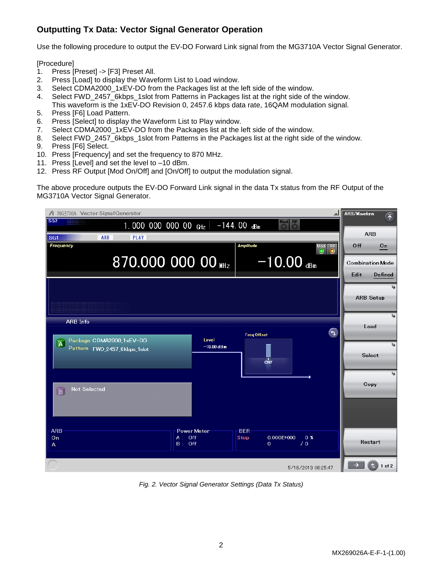# **Outputting Tx Data: Vector Signal Generator Operation**

Use the following procedure to output the EV-DO Forward Link signal from the MG3710A Vector Signal Generator.

[Procedure]

- 1. Press [Preset] -> [F3] Preset All.
- 2. Press [Load] to display the Waveform List to Load window.
- 3. Select CDMA2000 1xEV-DO from the Packages list at the left side of the window.
- 4. Select FWD 2457 6kbps 1slot from Patterns in Packages list at the right side of the window. This waveform is the 1xEV-DO Revision 0, 2457.6 kbps data rate, 16QAM modulation signal.
- 5. Press [F6] Load Pattern.
- 6. Press [Select] to display the Waveform List to Play window.
- 7. Select CDMA2000\_1xEV-DO from the Packages list at the left side of the window.
- 8. Select FWD\_2457\_6kbps\_1slot from Patterns in the Packages list at the right side of the window.
- 9. Press [F6] Select.
- 10. Press [Frequency] and set the frequency to 870 MHz.
- 11. Press [Level] and set the level to –10 dBm.
- 12. Press RF Output [Mod On/Off] and [On/Off] to output the modulation signal.

The above procedure outputs the EV-DO Forward Link signal in the data Tx status from the RF Output of the MG3710A Vector Signal Generator.



*Fig. 2. Vector Signal Generator Settings (Data Tx Status)*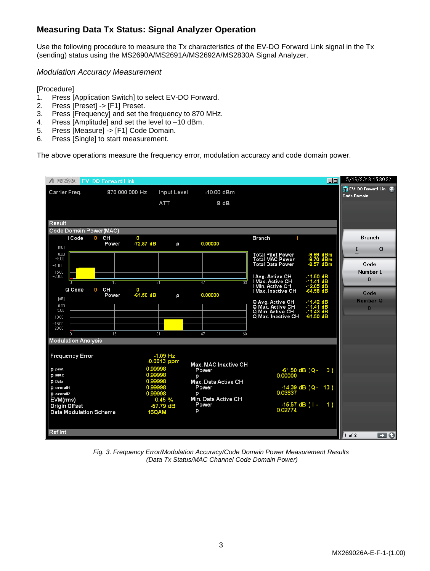# **Measuring Data Tx Status: Signal Analyzer Operation**

Use the following procedure to measure the Tx characteristics of the EV-DO Forward Link signal in the Tx (sending) status using the MS2690A/MS2691A/MS2692A/MS2830A Signal Analyzer.

*Modulation Accuracy Measurement*

[Procedure]

- 1. Press [Application Switch] to select EV-DO Forward.
- 2. Press [Preset] -> [F1] Preset.
- 3. Press [Frequency] and set the frequency to 870 MHz.
- 4. Press [Amplitude] and set the level to –10 dBm.
- 5. Press [Measure] -> [F1] Code Domain.
- 6. Press [Single] to start measurement.

The above operations measure the frequency error, modulation accuracy and code domain power.



*Fig. 3. Frequency Error/Modulation Accuracy/Code Domain Power Measurement Results (Data Tx Status/MAC Channel Code Domain Power)*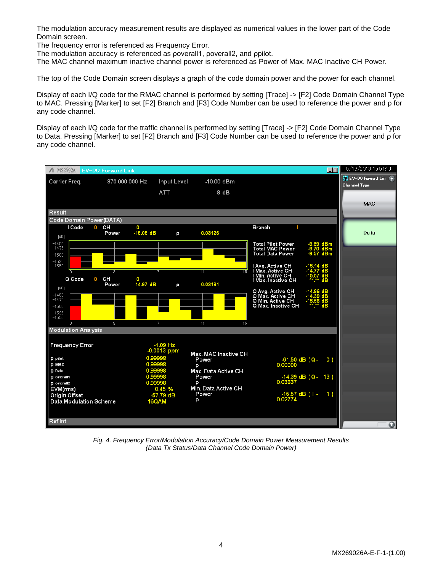The modulation accuracy measurement results are displayed as numerical values in the lower part of the Code Domain screen.

The frequency error is referenced as Frequency Error.

The modulation accuracy is referenced as poverall1, poverall2, and ppilot.

The MAC channel maximum inactive channel power is referenced as Power of Max. MAC Inactive CH Power.

The top of the Code Domain screen displays a graph of the code domain power and the power for each channel.

Display of each I/Q code for the RMAC channel is performed by setting [Trace] -> [F2] Code Domain Channel Type to MAC. Pressing [Marker] to set [F2] Branch and [F3] Code Number can be used to reference the power and ρ for any code channel.

Display of each I/Q code for the traffic channel is performed by setting [Trace] -> [F2] Code Domain Channel Type to Data. Pressing [Marker] to set [F2] Branch and [F3] Code Number can be used to reference the power and ρ for any code channel.



*Fig. 4. Frequency Error/Modulation Accuracy/Code Domain Power Measurement Results (Data Tx Status/Data Channel Code Domain Power)*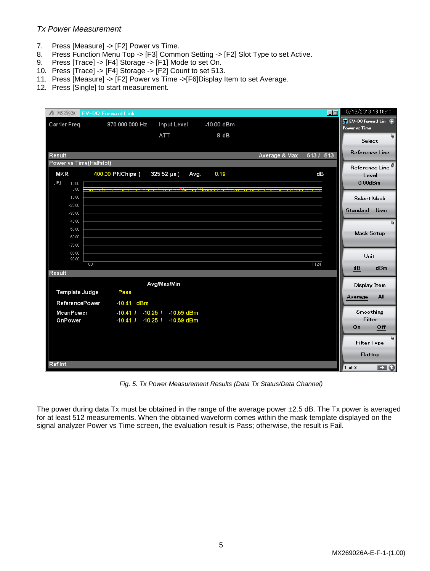## *Tx Power Measurement*

- 7. Press [Measure] -> [F2] Power vs Time.
- 8. Press Function Menu Top -> [F3] Common Setting -> [F2] Slot Type to set Active.
- 9. Press [Trace] -> [F4] Storage -> [F1] Mode to set On.
- 10. Press [Trace] -> [F4] Storage -> [F2] Count to set 513.
- 11. Press [Measure] -> [F2] Power vs Time ->[F6]Display Item to set Average.
- 12. Press [Single] to start measurement.

|                                | △ MS2692A EV-DO Forward Link |                              |                 |            |               | $\Box$ ol  | 5/18/2013 16:19:40                   |                               |
|--------------------------------|------------------------------|------------------------------|-----------------|------------|---------------|------------|--------------------------------------|-------------------------------|
| Carrier Freq.                  | 870 000 000 Hz               | <b>Input Level</b>           |                 | -10.00 dBm |               |            | EV-DO Forward Lin T<br>Power vs Time |                               |
|                                |                              | ATT                          |                 | 8 dB       |               |            | Select                               | ایجا                          |
|                                |                              |                              |                 |            |               |            |                                      |                               |
| <b>Result</b>                  |                              |                              |                 |            | Average & Max | $5131$ 513 | Reference Line                       |                               |
| <b>Power vs Time(Halfslot)</b> |                              |                              |                 |            |               |            | Reference Line                       |                               |
| MKR                            | 400.00 PNChips (             | $325.52 \,\mu s$ )           | Avg.            | 0.19       |               | dB         | Level                                |                               |
| [dB]<br>10.00<br>0.00          |                              |                              | بهتوبنا بماداهه |            |               |            | $0.00$ d $Bm$                        |                               |
| $-10.00$                       |                              |                              |                 |            |               |            | Select Mask                          |                               |
| $-20.00$                       |                              |                              |                 |            |               |            | Standard User                        |                               |
| $-30.00$<br>$-40.00$           |                              |                              |                 |            |               |            |                                      |                               |
| $-50.00$                       |                              |                              |                 |            |               |            |                                      | ھا                            |
| $-60.00$                       |                              |                              |                 |            |               |            | <b>Mask Setup</b>                    |                               |
| $-70.00$                       |                              |                              |                 |            |               |            |                                      |                               |
| $-80.00$<br>$-90.00$           |                              |                              |                 |            |               |            | Unit                                 |                               |
|                                | $-100$                       |                              |                 |            |               | 1124       | dB                                   | dBm                           |
| <b>Result</b>                  |                              |                              |                 |            |               |            |                                      |                               |
|                                |                              | Avg/Max/Min                  |                 |            |               |            | Display Item                         |                               |
| Template Judge                 | Pass                         |                              |                 |            |               |            | Average                              | All                           |
| <b>ReferencePower</b>          | -10.41 dBm                   |                              |                 |            |               |            |                                      |                               |
| <b>MeanPower</b>               |                              | -10.41 / -10.25 / -10.59 dBm |                 |            |               |            | Smoothing<br>Filter                  |                               |
| OnPower                        | $-10.41$ $1 - 10.25$ $1$     | $-10.59$ dBm                 |                 |            |               |            | On                                   | 0 <sup>ff</sup>               |
|                                |                              |                              |                 |            |               |            |                                      |                               |
|                                |                              |                              |                 |            |               |            | <b>Filter Type</b>                   |                               |
|                                |                              |                              |                 |            |               |            | Flattop                              |                               |
| Ref.Int                        |                              |                              |                 |            |               |            | 1 of 2                               | $\blacksquare$ $\blacksquare$ |
|                                |                              |                              |                 |            |               |            |                                      |                               |

*Fig. 5. Tx Power Measurement Results (Data Tx Status/Data Channel)*

The power during data Tx must be obtained in the range of the average power  $\pm$ 2.5 dB. The Tx power is averaged for at least 512 measurements. When the obtained waveform comes within the mask template displayed on the signal analyzer Power vs Time screen, the evaluation result is Pass; otherwise, the result is Fail.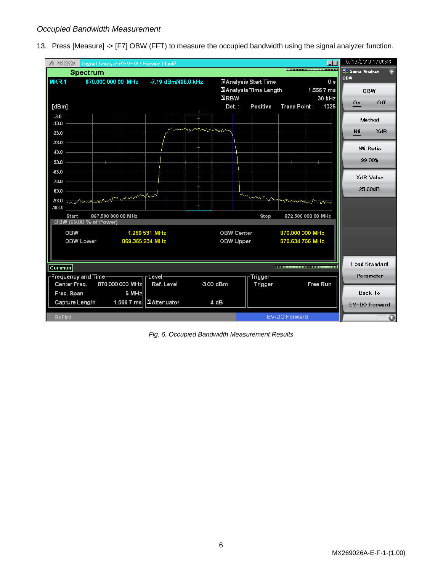## *Occupied Bandwidth Measurement*

13. Press [Measure] -> [F7] OBW (FFT) to measure the occupied bandwidth using the signal analyzer function.



*Fig. 6. Occupied Bandwidth Measurement Results*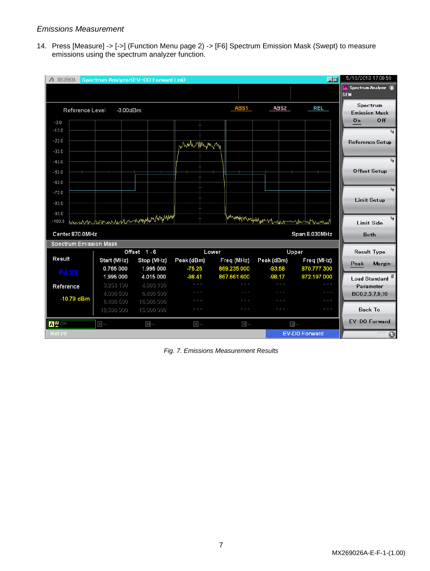## *Emissions Measurement*

14. Press [Measure] -> [->] (Function Menu page 2) -> [F6] Spectrum Emission Mask (Swept) to measure emissions using the spectrum analyzer function.

| $\Lambda$ MS2692A             |             | Spectrum Analyzer(EV-DO Forward Link) |                         |                                                |                                                 | $\Box$ ol                                                                                       | 5/18/2013 17:09:58                          |
|-------------------------------|-------------|---------------------------------------|-------------------------|------------------------------------------------|-------------------------------------------------|-------------------------------------------------------------------------------------------------|---------------------------------------------|
|                               |             |                                       |                         |                                                |                                                 |                                                                                                 | <b>LA Spectrum Analyzer</b> 不<br><b>SEM</b> |
|                               |             |                                       |                         |                                                |                                                 |                                                                                                 |                                             |
| <b>Reference Level</b>        |             | $-3.00$ d $Bm$                        |                         | ABS1                                           | <b>ABS2</b>                                     | REL                                                                                             | Spectrum<br><b>Emission Mask</b>            |
| $-3.0$                        |             |                                       |                         |                                                |                                                 |                                                                                                 | Off<br>On                                   |
| $-13.0$                       |             |                                       |                         |                                                |                                                 |                                                                                                 | عا                                          |
| $-23.0$                       |             |                                       |                         |                                                |                                                 |                                                                                                 | <b>Reference Setup</b>                      |
| $-33.0$                       |             |                                       | when you my             |                                                |                                                 |                                                                                                 |                                             |
| $-43.0$                       |             |                                       |                         |                                                |                                                 |                                                                                                 | ھا                                          |
| $-53.0$                       |             |                                       |                         |                                                |                                                 |                                                                                                 | <b>Offset Setup</b>                         |
| $-63.0$                       |             |                                       |                         |                                                |                                                 |                                                                                                 |                                             |
| $-73.0$                       |             |                                       |                         |                                                |                                                 |                                                                                                 |                                             |
|                               |             |                                       |                         |                                                |                                                 |                                                                                                 | <b>Limit Setup</b>                          |
| $-83.0$                       |             |                                       |                         |                                                |                                                 |                                                                                                 |                                             |
| $-93.0$<br>$-103.0$           |             | hannon hommerledernmynden happym      |                         |                                                | whamppanphagunn reason montanand                |                                                                                                 |                                             |
|                               |             |                                       |                         |                                                |                                                 |                                                                                                 | <b>Limit Side</b>                           |
| Center 870.0MHz               |             |                                       |                         |                                                |                                                 | Span 8.030MHz                                                                                   | Both                                        |
| <b>Spectrum Emission Mask</b> |             |                                       |                         |                                                |                                                 |                                                                                                 |                                             |
| Result                        | Start (MHz) | Offset 1-6<br>Stop (MHz)              | Peak (dBm)              | Lower<br>Freq (MHz)                            | Peak (dBm)                                      | Upper<br>Freq (MHz)                                                                             | <b>Result Type</b>                          |
|                               | 0.765 000   | 1.995 000                             | $-75.25$                | 869.235 000                                    | $-93.58$                                        | 870.777 300                                                                                     | Margin<br>Peak                              |
| <b>PASS</b>                   | 1.995 000   | 4.015 000                             | $-98.41$                | 867.661 600                                    | $-98.17$                                        | 872.197 000                                                                                     | Load Standard <sup>®</sup>                  |
| Reference                     | 3.253 100   | 4.003 100                             | $2k$ - $2k$ - $2k$      | $x \geq x$                                     | $\dot{M}$ , $\dot{M}$ , $\dot{M}$               | $x \gg x$                                                                                       | Parameter                                   |
| $-10.79$ dBm                  | 4,000 500   | 6,400 500                             | 20 20 20                | $2k$ - $2k$ - $2k$                             | $\lambda_1^2-\lambda_2^2=\lambda_3^2$           | $\dot{M}$ , $\dot{M}$ , $\dot{M}$                                                               | BC0,2,5,7,9,10                              |
|                               | 6.400 500   | 16,005 000                            | sie sie sie<br>20 20 20 | $x \ge x$<br>$\dot{M}$ , $\dot{M}$ , $\dot{M}$ | $x \geq x$<br>$\dot{M}$ , $\dot{M}$ , $\dot{M}$ | $\lambda^2_{\rm L} - \lambda^2_{\rm L} - \lambda^2_{\rm L}$<br>$\Delta t = \Delta t = \Delta t$ | <b>Back To</b>                              |
|                               | 12.500 000  | 15,000 000                            |                         |                                                |                                                 |                                                                                                 |                                             |
| AYOff                         | $B-$        | $C -$                                 | $D-$                    | 日一                                             |                                                 | 日一                                                                                              | EV-DO Forward                               |
| Ref.Int                       |             |                                       |                         |                                                |                                                 | <b>EV-DO Forward</b>                                                                            | $\bullet$                                   |

*Fig. 7. Emissions Measurement Results*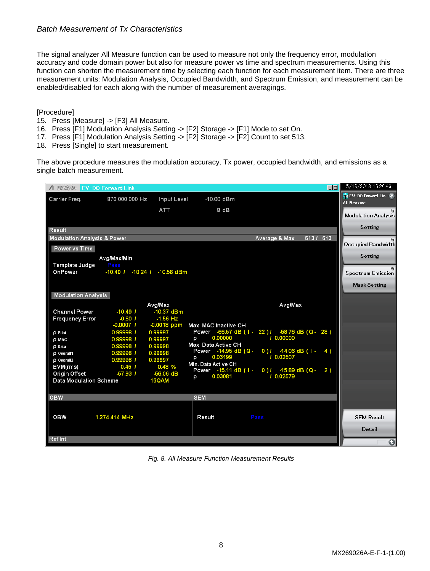## *Batch Measurement of Tx Characteristics*

The signal analyzer All Measure function can be used to measure not only the frequency error, modulation accuracy and code domain power but also for measure power vs time and spectrum measurements. Using this function can shorten the measurement time by selecting each function for each measurement item. There are three measurement units: Modulation Analysis, Occupied Bandwidth, and Spectrum Emission, and measurement can be enabled/disabled for each along with the number of measurement averagings.

[Procedure]

- 15. Press [Measure] -> [F3] All Measure.
- 16. Press [F1] Modulation Analysis Setting -> [F2] Storage -> [F1] Mode to set On.
- 17. Press [F1] Modulation Analysis Setting -> [F2] Storage -> [F2] Count to set 513.
- 18. Press [Single] to start measurement.

The above procedure measures the modulation accuracy, Tx power, occupied bandwidth, and emissions as a single batch measurement.

| △ MS2692A EV-DO Forward Link           |                |                                    |                                             |                                                 | $\Box$                | 5/18/2013 16:26:46                                |
|----------------------------------------|----------------|------------------------------------|---------------------------------------------|-------------------------------------------------|-----------------------|---------------------------------------------------|
| Carrier Freq.                          | 870 000 000 Hz | Input Level                        | -10.00 dBm                                  |                                                 |                       | <b>RW</b> EV-DO Forward Lin<br><b>All Measure</b> |
|                                        |                | ATT                                | 8 dB                                        |                                                 |                       |                                                   |
|                                        |                |                                    |                                             |                                                 |                       | Modulation Analysis                               |
|                                        |                |                                    |                                             |                                                 |                       | Setting                                           |
| Result                                 |                |                                    |                                             |                                                 |                       |                                                   |
| <b>Modulation Analysis &amp; Power</b> |                |                                    |                                             | Average & Max                                   | $\overline{5131}$ 513 | Occupied Bandwidth                                |
| Power vs Time                          |                |                                    |                                             |                                                 |                       |                                                   |
|                                        | Avg/Max/Min    |                                    |                                             |                                                 |                       | Setting                                           |
| Template Judge                         | Pass           |                                    |                                             |                                                 |                       |                                                   |
| OnPower                                |                | $-10.40$ / $-10.24$ / $-10.58$ dBm |                                             |                                                 |                       | Spectrum Emission                                 |
|                                        |                |                                    |                                             |                                                 |                       | <b>Mask Setting</b>                               |
| <b>Modulation Analysis</b>             |                |                                    |                                             |                                                 |                       |                                                   |
|                                        |                | Avg/Max                            |                                             | Avg/Max                                         |                       |                                                   |
| <b>Channel Power</b>                   | $-10.49l$      | $-10.37$ dBm                       |                                             |                                                 |                       |                                                   |
| <b>Frequency Error</b>                 | $-0.60$ /      | $-1.56$ Hz                         |                                             |                                                 |                       |                                                   |
|                                        | $-0.0007$ /    | $-0.0018$ ppm                      | Max. MAC Inactive CH                        |                                                 |                       |                                                   |
| <b>p</b> Pilot                         | 0.99998 /      | 0.99997                            |                                             | Power -66.57 dB (1 - 22 ) / -58.76 dB (Q - 28 ) |                       |                                                   |
| <b>D MAC</b>                           | 0.99998 /      | 0.99997                            | 0.00000<br>O                                | 10.00000                                        |                       |                                                   |
| <b>p</b> Data                          | 0.99998 /      | 0.99998                            | Max. Data Active CH<br>Power -14.95 dB (Q - | 0) $1 - 14.06$ dB (1 -                          | 4)                    |                                                   |
| <b>D</b> Overall1                      | 0.99998 /      | 0.99998                            | 0.03199<br>ρ                                | / 0.02507                                       |                       |                                                   |
| <b>p</b> Overall <sub>2</sub>          | 0.99998 /      | 0.99997                            | Min. Data Active CH                         |                                                 |                       |                                                   |
| EVM(rms)                               | $0.45$ /       | 0.48%                              |                                             | Power -15.11 dB (1 - 0) / -15.89 dB (Q -        | 2)                    |                                                   |
| Origin Offset                          | $-57.931$      | $-56.06$ dB<br>16QAM               | 0.03081<br>p                                | / 0.02579                                       |                       |                                                   |
| <b>Data Modulation Scheme</b>          |                |                                    |                                             |                                                 |                       |                                                   |
|                                        |                |                                    |                                             |                                                 |                       |                                                   |
| <b>OBW</b>                             |                |                                    | <b>SEM</b>                                  |                                                 |                       |                                                   |
|                                        |                |                                    |                                             |                                                 |                       |                                                   |
| <b>OBW</b>                             | 1.274 414 MHz  |                                    | Result                                      | Pass                                            |                       | <b>SEM Result</b>                                 |
|                                        |                |                                    |                                             |                                                 |                       | Detail                                            |
| Ref.Int                                |                |                                    |                                             |                                                 |                       |                                                   |
|                                        |                |                                    |                                             |                                                 |                       | $\bullet$                                         |

*Fig. 8. All Measure Function Measurement Results*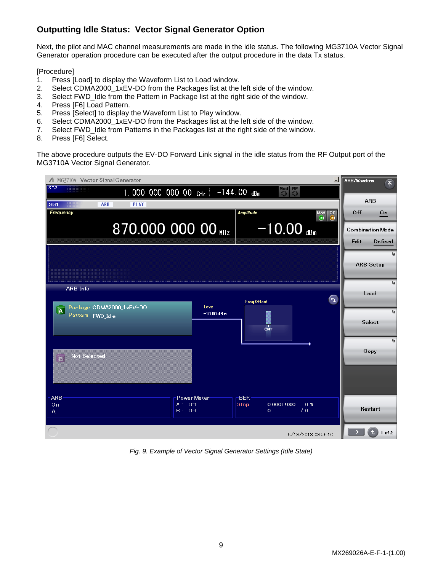# **Outputting Idle Status: Vector Signal Generator Option**

Next, the pilot and MAC channel measurements are made in the idle status. The following MG3710A Vector Signal Generator operation procedure can be executed after the output procedure in the data Tx status.

[Procedure]

- 1. Press [Load] to display the Waveform List to Load window.
- 2. Select CDMA2000\_1xEV-DO from the Packages list at the left side of the window.
- 3. Select FWD\_Idle from the Pattern in Package list at the right side of the window.
- 4. Press [F6] Load Pattern.
- 5. Press [Select] to display the Waveform List to Play window.
- 6. Select CDMA2000\_1xEV-DO from the Packages list at the left side of the window.
- 7. Select FWD\_Idle from Patterns in the Packages list at the right side of the window.
- 8. Press [F6] Select.

The above procedure outputs the EV-DO Forward Link signal in the idle status from the RF Output port of the MG3710A Vector Signal Generator.

| / MG3710A Vector Signal Generator                              |                                    |                                                                               |   | ARB/Waveform<br>斥                          |
|----------------------------------------------------------------|------------------------------------|-------------------------------------------------------------------------------|---|--------------------------------------------|
| s <sub>62</sub>                                                | 1.000 000 000 00 GHz $-144.00$ dBm | Mod<br><b>RF</b><br>O                                                         |   |                                            |
| SG1<br><b>ARB</b><br><b>PLAY</b>                               |                                    |                                                                               |   | <b>ARB</b>                                 |
| <b>Frequency</b>                                               |                                    | <b>Amplitude</b>                                                              |   | Off<br>On                                  |
|                                                                | 870.000 000 00 MHz                 | $-10.00$ dBm                                                                  |   | <b>Combination Mode</b><br>Edit<br>Defined |
|                                                                |                                    |                                                                               |   | رجا<br><b>ARB Setup</b>                    |
| <b>ARB</b> Info                                                | Level                              | <b>FreqOffset</b>                                                             | G | ردا<br>Load                                |
| Package CDMA2000_1xEV-DO<br>$\overline{A}$<br>Pattern FWD Idle | $-10.00$ dBm                       | CNT                                                                           |   | ھا<br>Select                               |
| <b>Not Selected</b><br>$\overline{B}$                          |                                    |                                                                               |   | ھا<br>Copy                                 |
| <b>ARB</b>                                                     | <b>Power Meter</b>                 | <b>BER</b>                                                                    |   |                                            |
| On<br>A                                                        | $A:$ Off<br>$B:$ Off               | $0.000E + 000$<br>0 <sub>x</sub><br><b>Stop</b><br>$\sqrt{0}$<br>$\mathbf{O}$ |   | Restart                                    |
|                                                                |                                    | 5/18/2013 08:26:10                                                            |   | $1$ of $2$                                 |

*Fig. 9. Example of Vector Signal Generator Settings (Idle State)*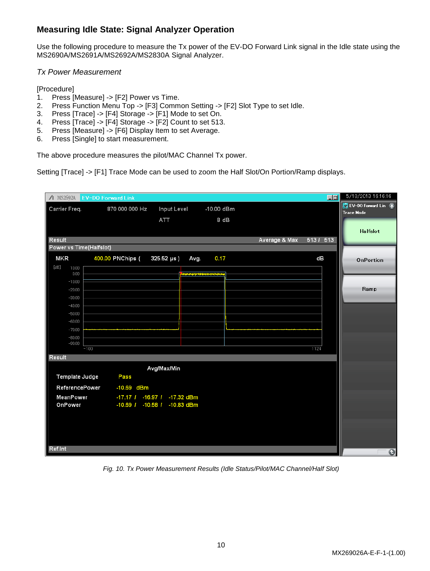# **Measuring Idle State: Signal Analyzer Operation**

Use the following procedure to measure the Tx power of the EV-DO Forward Link signal in the Idle state using the MS2690A/MS2691A/MS2692A/MS2830A Signal Analyzer.

## *Tx Power Measurement*

[Procedure]

- 1. Press [Measure] -> [F2] Power vs Time.
- 2. Press Function Menu Top -> [F3] Common Setting -> [F2] Slot Type to set Idle.
- 3. Press [Trace] -> [F4] Storage -> [F1] Mode to set On.
- 4. Press [Trace] -> [F4] Storage -> [F2] Count to set 513.
- 5. Press [Measure] -> [F6] Display Item to set Average.
- 6. Press [Single] to start measurement.

The above procedure measures the pilot/MAC Channel Tx power.

Setting [Trace] -> [F1] Trace Mode can be used to zoom the Half Slot/On Portion/Ramp displays.

|                         | △ MS2692A EV-DO Forward Link |                              |                                  |               | $\Box$     | 5/18/2013 16:16:16                         |
|-------------------------|------------------------------|------------------------------|----------------------------------|---------------|------------|--------------------------------------------|
| Carrier Freq.           | 870 000 000 Hz               | Input Level                  | -10.00 dBm                       |               |            | EV-DO Forward Lin (7)<br><b>Trace Mode</b> |
|                         |                              | ATT                          | 8 dB                             |               |            |                                            |
|                         |                              |                              |                                  |               |            | Halfslot                                   |
| <b>Result</b>           |                              |                              |                                  | Average & Max | $5131$ 513 |                                            |
| Power vs Time(Halfslot) |                              |                              |                                  |               |            |                                            |
| <b>MKR</b>              | 400.00 PNChips (             | $325.52 \,\mu s$ )<br>Avg.   | 0.17                             |               | dB         | OnPortion                                  |
| [dB]<br>10.00<br>0.00   |                              |                              | <b>The Hotel State of Alaska</b> |               |            |                                            |
| $-10.00$                |                              |                              |                                  |               |            |                                            |
| $-20.00$<br>$-30.00$    |                              |                              |                                  |               |            | Ramp                                       |
| $-40.00$                |                              |                              |                                  |               |            |                                            |
| $-50.00$                |                              |                              |                                  |               |            |                                            |
| $-60.00$<br>$-70.00$    |                              |                              |                                  |               |            |                                            |
| $-80.00$                |                              |                              |                                  |               |            |                                            |
| $-90.00$                | $-100$                       |                              |                                  |               | 1124       |                                            |
| Result                  |                              |                              |                                  |               |            |                                            |
|                         |                              | Avg/Max/Min                  |                                  |               |            |                                            |
| Template Judge          | <b>Pass</b>                  |                              |                                  |               |            |                                            |
| <b>ReferencePower</b>   | -10.69 dBm                   |                              |                                  |               |            |                                            |
| MeanPower               |                              | -17.17 / -16.97 / -17.32 dBm |                                  |               |            |                                            |
| OnPower                 | $-10.69$ / $-10.58$ /        | $-10.83$ dBm                 |                                  |               |            |                                            |
|                         |                              |                              |                                  |               |            |                                            |
|                         |                              |                              |                                  |               |            |                                            |
|                         |                              |                              |                                  |               |            |                                            |
| Ref.Int                 |                              |                              |                                  |               |            | $\bullet$                                  |

*Fig. 10. Tx Power Measurement Results (Idle Status/Pilot/MAC Channel/Half Slot)*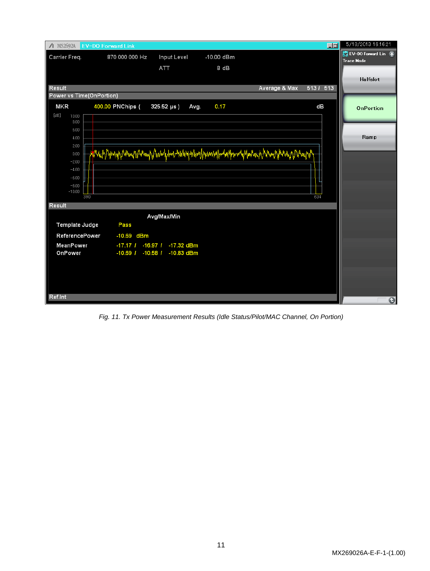

*Fig. 11. Tx Power Measurement Results (Idle Status/Pilot/MAC Channel, On Portion)*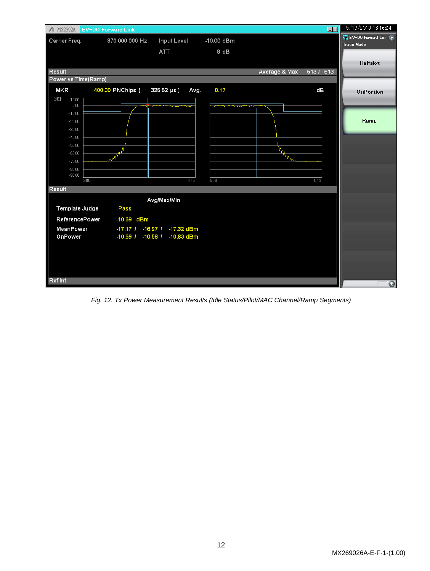

*Fig. 12. Tx Power Measurement Results (Idle Status/Pilot/MAC Channel/Ramp Segments)*